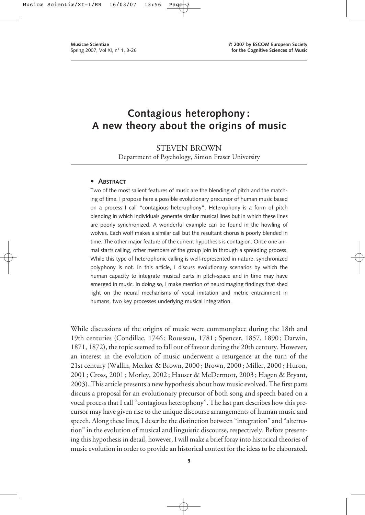**Musicae Scientiae** Spring 2007, Vol XI, n° 1, 3-26

# **Contagious heterophony: A new theory about the origins of music**

# STEVEN BROWN

Department of Psychology, Simon Fraser University

## **• ABSTRACT**

Two of the most salient features of music are the blending of pitch and the matching of time. I propose here a possible evolutionary precursor of human music based on a process I call "contagious heterophony". Heterophony is a form of pitch blending in which individuals generate similar musical lines but in which these lines are poorly synchronized. A wonderful example can be found in the howling of wolves. Each wolf makes a similar call but the resultant chorus is poorly blended in time. The other major feature of the current hypothesis is contagion. Once one animal starts calling, other members of the group join in through a spreading process. While this type of heterophonic calling is well-represented in nature, synchronized polyphony is not. In this article, I discuss evolutionary scenarios by which the human capacity to integrate musical parts in pitch-space and in time may have emerged in music. In doing so, I make mention of neuroimaging findings that shed light on the neural mechanisms of vocal imitation and metric entrainment in humans, two key processes underlying musical integration.

While discussions of the origins of music were commonplace during the 18th and 19th centuries (Condillac, 1746; Rousseau, 1781; Spencer, 1857, 1890; Darwin, 1871, 1872), the topic seemed to fall out of favour during the 20th century. However, an interest in the evolution of music underwent a resurgence at the turn of the 21st century (Wallin, Merker & Brown, 2000; Brown, 2000; Miller, 2000; Huron, 2001; Cross, 2001; Morley, 2002; Hauser & McDermott, 2003; Hagen & Bryant, 2003). This article presents a new hypothesis about how music evolved. The first parts discuss a proposal for an evolutionary precursor of both song and speech based on a vocal process that I call "contagious heterophony". The last part describes how this precursor may have given rise to the unique discourse arrangements of human music and speech. Along these lines, I describe the distinction between "integration" and "alternation" in the evolution of musical and linguistic discourse, respectively. Before presenting this hypothesis in detail, however, I will make a brief foray into historical theories of music evolution in order to provide an historical context for the ideas to be elaborated.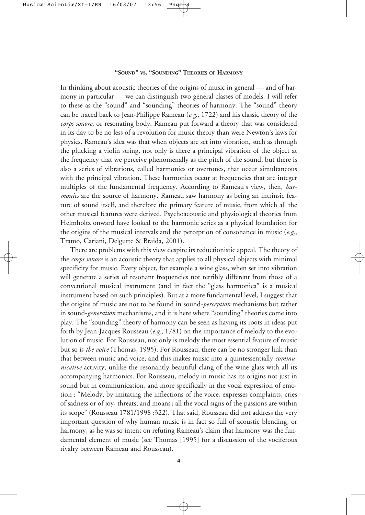#### **"SOUND" VS. "SOUNDING" THEORIES OF HARMONY**

In thinking about acoustic theories of the origins of music in general — and of harmony in particular — we can distinguish two general classes of models. I will refer to these as the "sound" and "sounding" theories of harmony. The "sound" theory can be traced back to Jean-Philippe Rameau (*e.g*., 1722) and his classic theory of the *corps sonore*, or resonating body. Rameau put forward a theory that was considered in its day to be no less of a revolution for music theory than were Newton's laws for physics. Rameau's idea was that when objects are set into vibration, such as through the plucking a violin string, not only is there a principal vibration of the object at the frequency that we perceive phenomenally as the pitch of the sound, but there is also a series of vibrations, called harmonics or overtones, that occur simultaneous with the principal vibration. These harmonics occur at frequencies that are integer multiples of the fundamental frequency. According to Rameau's view, then, *harmonics* are the source of harmony. Rameau saw harmony as being an intrinsic feature of sound itself, and therefore the primary feature of music, from which all the other musical features were derived. Psychoacoustic and physiological theories from Helmholtz onward have looked to the harmonic series as a physical foundation for the origins of the musical intervals and the perception of consonance in music (*e.g.*, Tramo, Cariani, Delgutte & Braida, 2001).

There are problems with this view despite its reductionistic appeal. The theory of the *corps sonore* is an acoustic theory that applies to all physical objects with minimal specificity for music. Every object, for example a wine glass, when set into vibration will generate a series of resonant frequencies not terribly different from those of a conventional musical instrument (and in fact the "glass harmonica" is a musical instrument based on such principles). But at a more fundamental level, I suggest that the origins of music are not to be found in sound-*perception* mechanisms but rather in sound-*generation* mechanisms, and it is here where "sounding" theories come into play. The "sounding" theory of harmony can be seen as having its roots in ideas put forth by Jean-Jacques Rousseau (*e.g.*, 1781) on the importance of melody to the evolution of music. For Rousseau, not only is melody the most essential feature of music but so is *the voice* (Thomas, 1995). For Rousseau, there can be no stronger link than that between music and voice, and this makes music into a quintessentially *communicative* activity, unlike the resonantly-beautiful clang of the wine glass with all its accompanying harmonics. For Rousseau, melody in music has its origins not just in sound but in communication, and more specifically in the vocal expression of emotion: "Melody, by imitating the inflections of the voice, expresses complaints, cries of sadness or of joy, threats, and moans; all the vocal signs of the passions are within its scope" (Rousseau 1781/1998:322). That said, Rousseau did not address the very important question of why human music is in fact so full of acoustic blending, or harmony, as he was so intent on refuting Rameau's claim that harmony was the fundamental element of music (see Thomas [1995] for a discussion of the vociferous rivalry between Rameau and Rousseau).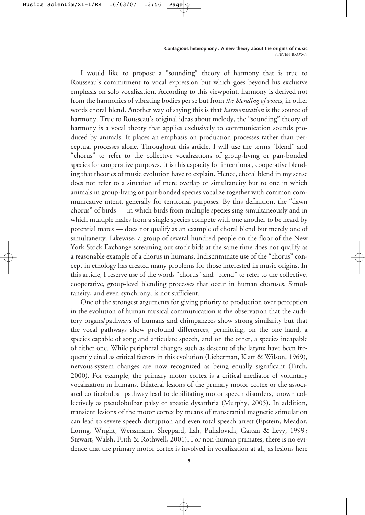I would like to propose a "sounding" theory of harmony that is true to Rousseau's commitment to vocal expression but which goes beyond his exclusive emphasis on solo vocalization. According to this viewpoint, harmony is derived not from the harmonics of vibrating bodies per se but from *the blending of voices*, in other words choral blend. Another way of saying this is that *harmonization* is the source of harmony. True to Rousseau's original ideas about melody, the "sounding" theory of harmony is a vocal theory that applies exclusively to communication sounds produced by animals. It places an emphasis on production processes rather than perceptual processes alone. Throughout this article, I will use the terms "blend" and "chorus" to refer to the collective vocalizations of group-living or pair-bonded species for cooperative purposes. It is this capacity for intentional, cooperative blending that theories of music evolution have to explain. Hence, choral blend in my sense does not refer to a situation of mere overlap or simultaneity but to one in which animals in group-living or pair-bonded species vocalize together with common communicative intent, generally for territorial purposes. By this definition, the "dawn chorus" of birds — in which birds from multiple species sing simultaneously and in which multiple males from a single species compete with one another to be heard by potential mates — does not qualify as an example of choral blend but merely one of simultaneity. Likewise, a group of several hundred people on the floor of the New York Stock Exchange screaming out stock bids at the same time does not qualify as a reasonable example of a chorus in humans. Indiscriminate use of the "chorus" concept in ethology has created many problems for those interested in music origins. In this article, I reserve use of the words "chorus" and "blend" to refer to the collective, cooperative, group-level blending processes that occur in human choruses. Simultaneity, and even synchrony, is not sufficient.

One of the strongest arguments for giving priority to production over perception in the evolution of human musical communication is the observation that the auditory organs/pathways of humans and chimpanzees show strong similarity but that the vocal pathways show profound differences, permitting, on the one hand, a species capable of song and articulate speech, and on the other, a species incapable of either one. While peripheral changes such as descent of the larynx have been frequently cited as critical factors in this evolution (Lieberman, Klatt & Wilson, 1969), nervous-system changes are now recognized as being equally significant (Fitch, 2000). For example, the primary motor cortex is a critical mediator of voluntary vocalization in humans. Bilateral lesions of the primary motor cortex or the associated corticobulbar pathway lead to debilitating motor speech disorders, known collectively as pseudobulbar palsy or spastic dysarthria (Murphy, 2005). In addition, transient lesions of the motor cortex by means of transcranial magnetic stimulation can lead to severe speech disruption and even total speech arrest (Epstein, Meador, Loring, Wright, Weissmann, Sheppard, Lah, Puhalovich, Gaitan & Levy, 1999; Stewart, Walsh, Frith & Rothwell, 2001). For non-human primates, there is no evidence that the primary motor cortex is involved in vocalization at all, as lesions here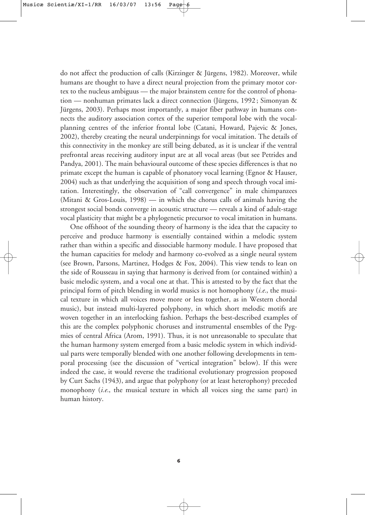do not affect the production of calls (Kirzinger & Jürgens, 1982). Moreover, while humans are thought to have a direct neural projection from the primary motor cortex to the nucleus ambiguus — the major brainstem centre for the control of phonation — nonhuman primates lack a direct connection (Jürgens, 1992; Simonyan & Jürgens, 2003). Perhaps most importantly, a major fiber pathway in humans connects the auditory association cortex of the superior temporal lobe with the vocalplanning centres of the inferior frontal lobe (Catani, Howard, Pajevic & Jones, 2002), thereby creating the neural underpinnings for vocal imitation. The details of this connectivity in the monkey are still being debated, as it is unclear if the ventral prefrontal areas receiving auditory input are at all vocal areas (but see Petrides and Pandya, 2001). The main behavioural outcome of these species differences is that no primate except the human is capable of phonatory vocal learning (Egnor & Hauser, 2004) such as that underlying the acquisition of song and speech through vocal imitation. Interestingly, the observation of "call convergence" in male chimpanzees (Mitani & Gros-Louis, 1998) — in which the chorus calls of animals having the strongest social bonds converge in acoustic structure — reveals a kind of adult-stage vocal plasticity that might be a phylogenetic precursor to vocal imitation in humans.

One offshoot of the sounding theory of harmony is the idea that the capacity to perceive and produce harmony is essentially contained within a melodic system rather than within a specific and dissociable harmony module. I have proposed that the human capacities for melody and harmony co-evolved as a single neural system (see Brown, Parsons, Martinez, Hodges & Fox, 2004). This view tends to lean on the side of Rousseau in saying that harmony is derived from (or contained within) a basic melodic system, and a vocal one at that. This is attested to by the fact that the principal form of pitch blending in world musics is not homophony (*i.e.*, the musical texture in which all voices move more or less together, as in Western chordal music), but instead multi-layered polyphony, in which short melodic motifs are woven together in an interlocking fashion. Perhaps the best-described examples of this are the complex polyphonic choruses and instrumental ensembles of the Pygmies of central Africa (Arom, 1991). Thus, it is not unreasonable to speculate that the human harmony system emerged from a basic melodic system in which individual parts were temporally blended with one another following developments in temporal processing (see the discussion of "vertical integration" below). If this were indeed the case, it would reverse the traditional evolutionary progression proposed by Curt Sachs (1943), and argue that polyphony (or at least heterophony) preceded monophony (*i.e.*, the musical texture in which all voices sing the same part) in human history.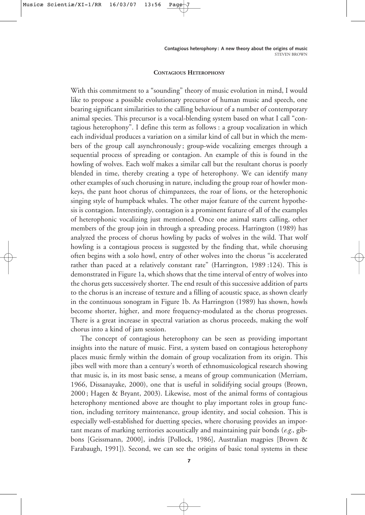#### **CONTAGIOUS HETEROPHONY**

With this commitment to a "sounding" theory of music evolution in mind, I would like to propose a possible evolutionary precursor of human music and speech, one bearing significant similarities to the calling behaviour of a number of contemporary animal species. This precursor is a vocal-blending system based on what I call "contagious heterophony". I define this term as follows: a group vocalization in which each individual produces a variation on a similar kind of call but in which the members of the group call asynchronously; group-wide vocalizing emerges through a sequential process of spreading or contagion. An example of this is found in the howling of wolves. Each wolf makes a similar call but the resultant chorus is poorly blended in time, thereby creating a type of heterophony. We can identify many other examples of such chorusing in nature, including the group roar of howler monkeys, the pant hoot chorus of chimpanzees, the roar of lions, or the heterophonic singing style of humpback whales. The other major feature of the current hypothesis is contagion. Interestingly, contagion is a prominent feature of all of the examples of heterophonic vocalizing just mentioned. Once one animal starts calling, other members of the group join in through a spreading process. Harrington (1989) has analyzed the process of chorus howling by packs of wolves in the wild. That wolf howling is a contagious process is suggested by the finding that, while chorusing often begins with a solo howl, entry of other wolves into the chorus "is accelerated rather than paced at a relatively constant rate" (Harrington, 1989:124). This is demonstrated in Figure 1a, which shows that the time interval of entry of wolves into the chorus gets successively shorter. The end result of this successive addition of parts to the chorus is an increase of texture and a filling of acoustic space, as shown clearly in the continuous sonogram in Figure 1b. As Harrington (1989) has shown, howls become shorter, higher, and more frequency-modulated as the chorus progresses. There is a great increase in spectral variation as chorus proceeds, making the wolf chorus into a kind of jam session.

The concept of contagious heterophony can be seen as providing important insights into the nature of music. First, a system based on contagious heterophony places music firmly within the domain of group vocalization from its origin. This jibes well with more than a century's worth of ethnomusicological research showing that music is, in its most basic sense, a means of group communication (Merriam, 1966, Dissanayake, 2000), one that is useful in solidifying social groups (Brown, 2000; Hagen & Bryant, 2003). Likewise, most of the animal forms of contagious heterophony mentioned above are thought to play important roles in group function, including territory maintenance, group identity, and social cohesion. This is especially well-established for duetting species, where chorusing provides an important means of marking territories acoustically and maintaining pair bonds (*e.g.*, gibbons [Geissmann, 2000], indris [Pollock, 1986], Australian magpies [Brown & Farabaugh, 1991]). Second, we can see the origins of basic tonal systems in these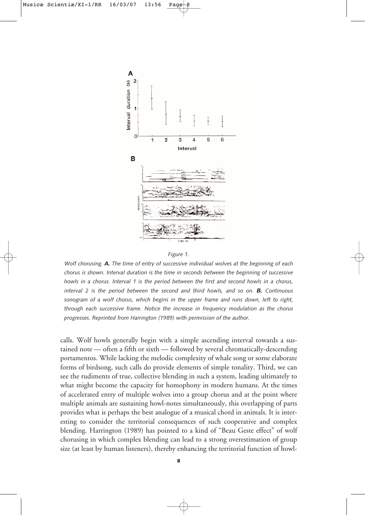

#### *Figure 1.*

*Wolf chorusing.* A. *The time of entry of successive individual wolves at the beginning of each chorus is shown. Interval duration is the time in seconds between the beginning of successive howls in a chorus. Interval 1 is the period between the first and second howls in a chorus, interval 2 is the period between the second and third howls, and so on.* **B.** Continuous *sonogram of a wolf chorus, which begins in the upper frame and runs down, left to right, through each successive frame. Notice the increase in frequency modulation as the chorus progresses. Reprinted from Harrington (1989) with permission of the author.*

calls. Wolf howls generally begin with a simple ascending interval towards a sustained note — often a fifth or sixth — followed by several chromatically-descending portamentos. While lacking the melodic complexity of whale song or some elaborate forms of birdsong, such calls do provide elements of simple tonality. Third, we can see the rudiments of true, collective blending in such a system, leading ultimately to what might become the capacity for homophony in modern humans. At the times of accelerated entry of multiple wolves into a group chorus and at the point where multiple animals are sustaining howl-notes simultaneously, this overlapping of parts provides what is perhaps the best analogue of a musical chord in animals. It is interesting to consider the territorial consequences of such cooperative and complex blending. Harrington (1989) has pointed to a kind of "Beau Geste effect" of wolf chorusing in which complex blending can lead to a strong overestimation of group size (at least by human listeners), thereby enhancing the territorial function of howl-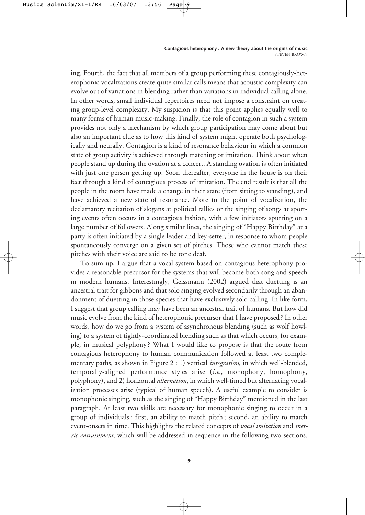ing. Fourth, the fact that all members of a group performing these contagiously-heterophonic vocalizations create quite similar calls means that acoustic complexity can evolve out of variations in blending rather than variations in individual calling alone. In other words, small individual repertoires need not impose a constraint on creating group-level complexity. My suspicion is that this point applies equally well to many forms of human music-making. Finally, the role of contagion in such a system provides not only a mechanism by which group participation may come about but also an important clue as to how this kind of system might operate both psychologically and neurally. Contagion is a kind of resonance behaviour in which a common state of group activity is achieved through matching or imitation. Think about when people stand up during the ovation at a concert. A standing ovation is often initiated with just one person getting up. Soon thereafter, everyone in the house is on their feet through a kind of contagious process of imitation. The end result is that all the people in the room have made a change in their state (from sitting to standing), and have achieved a new state of resonance. More to the point of vocalization, the declamatory recitation of slogans at political rallies or the singing of songs at sporting events often occurs in a contagious fashion, with a few initiators spurring on a large number of followers. Along similar lines, the singing of "Happy Birthday" at a party is often initiated by a single leader and key-setter, in response to whom people spontaneously converge on a given set of pitches. Those who cannot match these pitches with their voice are said to be tone deaf.

To sum up, I argue that a vocal system based on contagious heterophony provides a reasonable precursor for the systems that will become both song and speech in modern humans. Interestingly, Geissmann (2002) argued that duetting is an ancestral trait for gibbons and that solo singing evolved secondarily through an abandonment of duetting in those species that have exclusively solo calling. In like form, I suggest that group calling may have been an ancestral trait of humans. But how did music evolve from the kind of heterophonic precursor that I have proposed? In other words, how do we go from a system of asynchronous blending (such as wolf howling) to a system of tightly-coordinated blending such as that which occurs, for example, in musical polyphony? What I would like to propose is that the route from contagious heterophony to human communication followed at least two complementary paths, as shown in Figure 2: 1) vertical *integration*, in which well-blended, temporally-aligned performance styles arise (*i.e*., monophony, homophony, polyphony), and 2) horizontal *alternation*, in which well-timed but alternating vocalization processes arise (typical of human speech). A useful example to consider is monophonic singing, such as the singing of "Happy Birthday" mentioned in the last paragraph. At least two skills are necessary for monophonic singing to occur in a group of individuals: first, an ability to match pitch; second, an ability to match event-onsets in time. This highlights the related concepts of *vocal imitation* and *metric entrainment*, which will be addressed in sequence in the following two sections.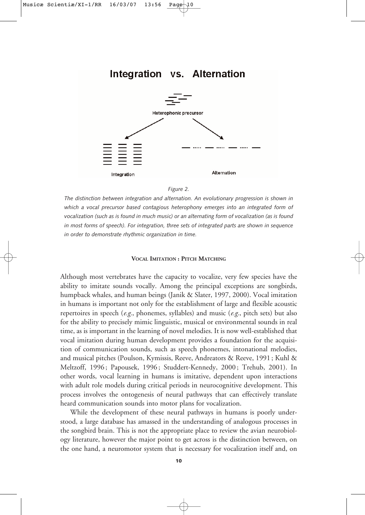





*The distinction between integration and alternation. An evolutionary progression is shown in which a vocal precursor based contagious heterophony emerges into an integrated form of vocalization (such as is found in much music) or an alternating form of vocalization (as is found in most forms of speech). For integration, three sets of integrated parts are shown in sequence in order to demonstrate rhythmic organization in time.*

## **VOCAL IMITATION: PITCH MATCHING**

Although most vertebrates have the capacity to vocalize, very few species have the ability to imitate sounds vocally. Among the principal exceptions are songbirds, humpback whales, and human beings (Janik & Slater, 1997, 2000). Vocal imitation in humans is important not only for the establishment of large and flexible acoustic repertoires in speech (*e.g.*, phonemes, syllables) and music (*e.g.*, pitch sets) but also for the ability to precisely mimic linguistic, musical or environmental sounds in real time, as is important in the learning of novel melodies. It is now well-established that vocal imitation during human development provides a foundation for the acquisition of communication sounds, such as speech phonemes, intonational melodies, and musical pitches (Poulson, Kymissis, Reeve, Andreators & Reeve, 1991; Kuhl & Meltzoff, 1996; Papousek, 1996; Studdert-Kennedy, 2000; Trehub, 2001). In other words, vocal learning in humans is imitative, dependent upon interactions with adult role models during critical periods in neurocognitive development. This process involves the ontogenesis of neural pathways that can effectively translate heard communication sounds into motor plans for vocalization.

While the development of these neural pathways in humans is poorly understood, a large database has amassed in the understanding of analogous processes in the songbird brain. This is not the appropriate place to review the avian neurobiology literature, however the major point to get across is the distinction between, on the one hand, a neuromotor system that is necessary for vocalization itself and, on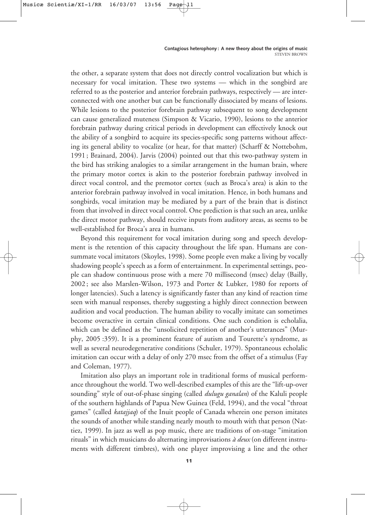the other, a separate system that does not directly control vocalization but which is necessary for vocal imitation. These two systems — which in the songbird are referred to as the posterior and anterior forebrain pathways, respectively — are interconnected with one another but can be functionally dissociated by means of lesions. While lesions to the posterior forebrain pathway subsequent to song development can cause generalized muteness (Simpson & Vicario, 1990), lesions to the anterior forebrain pathway during critical periods in development can effectively knock out the ability of a songbird to acquire its species-specific song patterns without affecting its general ability to vocalize (or hear, for that matter) (Scharff & Nottebohm, 1991; Brainard, 2004). Jarvis (2004) pointed out that this two-pathway system in the bird has striking analogies to a similar arrangement in the human brain, where the primary motor cortex is akin to the posterior forebrain pathway involved in direct vocal control, and the premotor cortex (such as Broca's area) is akin to the anterior forebrain pathway involved in vocal imitation. Hence, in both humans and songbirds, vocal imitation may be mediated by a part of the brain that is distinct from that involved in direct vocal control. One prediction is that such an area, unlike the direct motor pathway, should receive inputs from auditory areas, as seems to be well-established for Broca's area in humans.

Beyond this requirement for vocal imitation during song and speech development is the retention of this capacity throughout the life span. Humans are consummate vocal imitators (Skoyles, 1998). Some people even make a living by vocally shadowing people's speech as a form of entertainment. In experimental settings, people can shadow continuous prose with a mere 70 millisecond (msec) delay (Bailly, 2002; see also Marslen-Wilson, 1973 and Porter & Lubker, 1980 for reports of longer latencies). Such a latency is significantly faster than any kind of reaction time seen with manual responses, thereby suggesting a highly direct connection between audition and vocal production. The human ability to vocally imitate can sometimes become overactive in certain clinical conditions. One such condition is echolalia, which can be defined as the "unsolicited repetition of another's utterances" (Murphy, 2005:359). It is a prominent feature of autism and Tourette's syndrome, as well as several neurodegenerative conditions (Schuler, 1979). Spontaneous echolalic imitation can occur with a delay of only 270 msec from the offset of a stimulus (Fay and Coleman, 1977).

Imitation also plays an important role in traditional forms of musical performance throughout the world. Two well-described examples of this are the "lift-up-over sounding" style of out-of-phase singing (called *dulugu ganalan*) of the Kaluli people of the southern highlands of Papua New Guinea (Feld, 1994), and the vocal "throat games" (called *katajjaq*) of the Inuit people of Canada wherein one person imitates the sounds of another while standing nearly mouth to mouth with that person (Nattiez, 1999). In jazz as well as pop music, there are traditions of on-stage "imitation rituals" in which musicians do alternating improvisations *à deux* (on different instruments with different timbres), with one player improvising a line and the other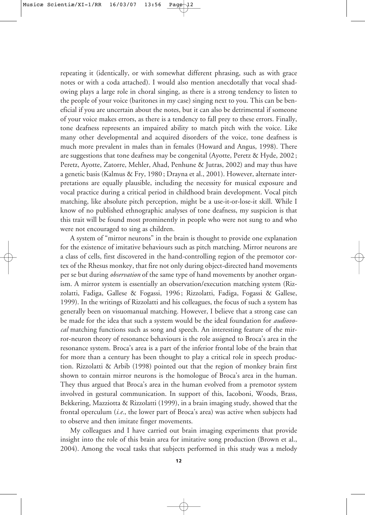repeating it (identically, or with somewhat different phrasing, such as with grace notes or with a coda attached). I would also mention anecdotally that vocal shadowing plays a large role in choral singing, as there is a strong tendency to listen to the people of your voice (baritones in my case) singing next to you. This can be beneficial if you are uncertain about the notes, but it can also be detrimental if someone of your voice makes errors, as there is a tendency to fall prey to these errors. Finally, tone deafness represents an impaired ability to match pitch with the voice. Like many other developmental and acquired disorders of the voice, tone deafness is much more prevalent in males than in females (Howard and Angus, 1998). There are suggestions that tone deafness may be congenital (Ayotte, Peretz & Hyde, 2002; Peretz, Ayotte, Zatorre, Mehler, Ahad, Penhune & Jutras, 2002) and may thus have a genetic basis (Kalmus & Fry, 1980; Drayna et al., 2001). However, alternate interpretations are equally plausible, including the necessity for musical exposure and vocal practice during a critical period in childhood brain development. Vocal pitch matching, like absolute pitch perception, might be a use-it-or-lose-it skill. While I know of no published ethnographic analyses of tone deafness, my suspicion is that this trait will be found most prominently in people who were not sung to and who were not encouraged to sing as children.

A system of "mirror neurons" in the brain is thought to provide one explanation for the existence of imitative behaviours such as pitch matching. Mirror neurons are a class of cells, first discovered in the hand-controlling region of the premotor cortex of the Rhesus monkey, that fire not only during object-directed hand movements per se but during *observation* of the same type of hand movements by another organism. A mirror system is essentially an observation/execution matching system (Rizzolatti, Fadiga, Gallese & Fogassi, 1996; Rizzolatti, Fadiga, Fogassi & Gallese, 1999). In the writings of Rizzolatti and his colleagues, the focus of such a system has generally been on visuomanual matching. However, I believe that a strong case can be made for the idea that such a system would be the ideal foundation for *audiovocal* matching functions such as song and speech. An interesting feature of the mirror-neuron theory of resonance behaviours is the role assigned to Broca's area in the resonance system. Broca's area is a part of the inferior frontal lobe of the brain that for more than a century has been thought to play a critical role in speech production. Rizzolatti & Arbib (1998) pointed out that the region of monkey brain first shown to contain mirror neurons is the homologue of Broca's area in the human. They thus argued that Broca's area in the human evolved from a premotor system involved in gestural communication. In support of this, Iacoboni, Woods, Brass, Bekkering, Mazziotta & Rizzolatti (1999), in a brain imaging study, showed that the frontal operculum (*i.e.*, the lower part of Broca's area) was active when subjects had to observe and then imitate finger movements.

My colleagues and I have carried out brain imaging experiments that provide insight into the role of this brain area for imitative song production (Brown et al., 2004). Among the vocal tasks that subjects performed in this study was a melody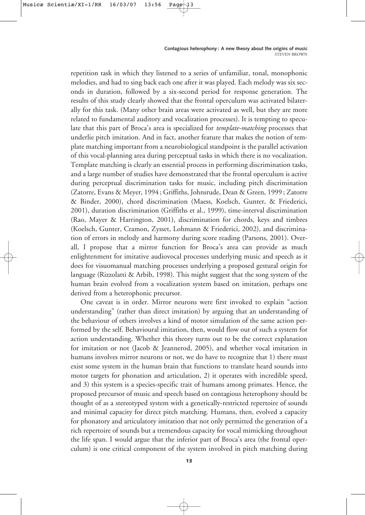repetition task in which they listened to a series of unfamiliar, tonal, monophonic melodies, and had to sing back each one after it was played. Each melody was six seconds in duration, followed by a six-second period for response generation. The results of this study clearly showed that the frontal operculum was activated bilaterally for this task. (Many other brain areas were activated as well, but they are more related to fundamental auditory and vocalization processes). It is tempting to speculate that this part of Broca's area is specialized for *template-matching* processes that underlie pitch imitation. And in fact, another feature that makes the notion of template matching important from a neurobiological standpoint is the parallel activation of this vocal-planning area during perceptual tasks in which there is no vocalization. Template matching is clearly an essential process in performing discrimination tasks, and a large number of studies have demonstrated that the frontal operculum is active during perceptual discrimination tasks for music, including pitch discrimination (Zatorre, Evans & Meyer, 1994; Griffiths, Johnsrude, Dean & Green, 1999; Zatorre & Binder, 2000), chord discrimination (Maess, Koelsch, Gunter, & Friederici, 2001), duration discrimination (Griffiths et al., 1999), time-interval discrimination (Rao, Mayer & Harrington, 2001), discrimination for chords, keys and timbres (Koelsch, Gunter, Cramon, Zysset, Lohmann & Friederici, 2002), and discrimination of errors in melody and harmony during score reading (Parsons, 2001). Overall, I propose that a mirror function for Broca's area can provide as much enlightenment for imitative audiovocal processes underlying music and speech as it does for visuomanual matching processes underlying a proposed gestural origin for language (Rizzolatti & Arbib, 1998). This might suggest that the song system of the human brain evolved from a vocalization system based on imitation, perhaps one derived from a heterophonic precursor.

One caveat is in order. Mirror neurons were first invoked to explain "action understanding" (rather than direct imitation) by arguing that an understanding of the behaviour of others involves a kind of motor simulation of the same action performed by the self. Behavioural imitation, then, would flow out of such a system for action understanding. Whether this theory turns out to be the correct explanation for imitation or not (Jacob & Jeannerod, 2005), and whether vocal imitation in humans involves mirror neurons or not, we do have to recognize that 1) there must exist some system in the human brain that functions to translate heard sounds into motor targets for phonation and articulation, 2) it operates with incredible speed, and 3) this system is a species-specific trait of humans among primates. Hence, the proposed precursor of music and speech based on contagious heterophony should be thought of as a stereotyped system with a genetically-restricted repertoire of sounds and minimal capacity for direct pitch matching. Humans, then, evolved a capacity for phonatory and articulatory imitation that not only permitted the generation of a rich repertoire of sounds but a tremendous capacity for vocal mimicking throughout the life span. I would argue that the inferior part of Broca's area (the frontal operculum) is one critical component of the system involved in pitch matching during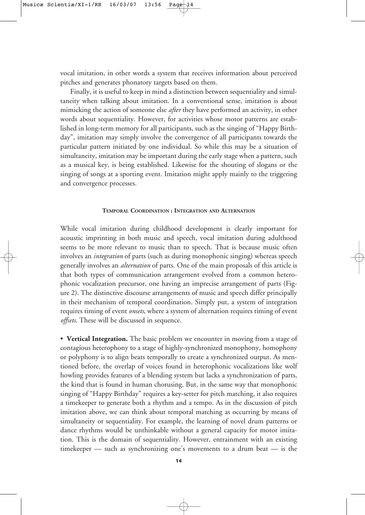vocal imitation, in other words a system that receives information about perceived pitches and generates phonatory targets based on them.

Finally, it is useful to keep in mind a distinction between sequentiality and simultaneity when talking about imitation. In a conventional sense, imitation is about mimicking the action of someone else *after* they have performed an activity, in other words about sequentiality. However, for activities whose motor patterns are established in long-term memory for all participants, such as the singing of "Happy Birthday", imitation may simply involve the convergence of all participants towards the particular pattern initiated by one individual. So while this may be a situation of simultaneity, imitation may be important during the early stage when a pattern, such as a musical key, is being established. Likewise for the shouting of slogans or the singing of songs at a sporting event. Imitation might apply mainly to the triggering and convergence processes.

## **TEMPORAL COORDINATION: INTEGRATION AND ALTERNATION**

While vocal imitation during childhood development is clearly important for acoustic imprinting in both music and speech, vocal imitation during adulthood seems to be more relevant to music than to speech. That is because music often involves an *integration* of parts (such as during monophonic singing) whereas speech generally involves an *alternation* of parts. One of the main proposals of this article is that both types of communication arrangement evolved from a common heterophonic vocalization precursor, one having an imprecise arrangement of parts (Figure 2). The distinctive discourse arrangements of music and speech differ principally in their mechanism of temporal coordination. Simply put, a system of integration requires timing of event *onsets*, where a system of alternation requires timing of event *offsets*. These will be discussed in sequence.

• **Vertical Integration.** The basic problem we encounter in moving from a stage of contagious heterophony to a stage of highly-synchronized monophony, homophony or polyphony is to align beats temporally to create a synchronized output. As mentioned before, the overlap of voices found in heterophonic vocalizations like wolf howling provides features of a blending system but lacks a synchronization of parts, the kind that is found in human chorusing. But, in the same way that monophonic singing of "Happy Birthday" requires a key-setter for pitch matching, it also requires a timekeeper to generate both a rhythm and a tempo. As in the discussion of pitch imitation above, we can think about temporal matching as occurring by means of simultaneity or sequentiality. For example, the learning of novel drum patterns or dance rhythms would be unthinkable without a general capacity for motor imitation. This is the domain of sequentiality. However, entrainment with an existing timekeeper — such as synchronizing one's movements to a drum beat — is the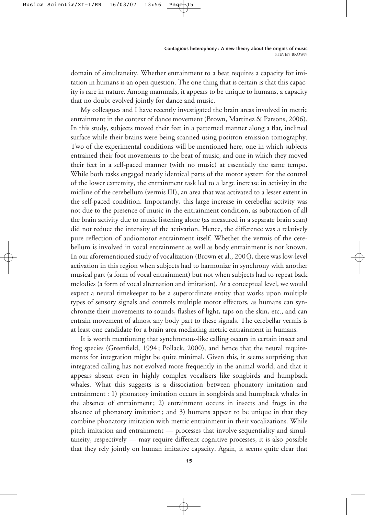domain of simultaneity. Whether entrainment to a beat requires a capacity for imitation in humans is an open question. The one thing that is certain is that this capacity is rare in nature. Among mammals, it appears to be unique to humans, a capacity that no doubt evolved jointly for dance and music.

My colleagues and I have recently investigated the brain areas involved in metric entrainment in the context of dance movement (Brown, Martinez & Parsons, 2006). In this study, subjects moved their feet in a patterned manner along a flat, inclined surface while their brains were being scanned using positron emission tomography. Two of the experimental conditions will be mentioned here, one in which subjects entrained their foot movements to the beat of music, and one in which they moved their feet in a self-paced manner (with no music) at essentially the same tempo. While both tasks engaged nearly identical parts of the motor system for the control of the lower extremity, the entrainment task led to a large increase in activity in the midline of the cerebellum (vermis III), an area that was activated to a lesser extent in the self-paced condition. Importantly, this large increase in cerebellar activity was not due to the presence of music in the entrainment condition, as subtraction of all the brain activity due to music listening alone (as measured in a separate brain scan) did not reduce the intensity of the activation. Hence, the difference was a relatively pure reflection of audiomotor entrainment itself. Whether the vermis of the cerebellum is involved in vocal entrainment as well as body entrainment is not known. In our aforementioned study of vocalization (Brown et al., 2004), there was low-level activation in this region when subjects had to harmonize in synchrony with another musical part (a form of vocal entrainment) but not when subjects had to repeat back melodies (a form of vocal alternation and imitation). At a conceptual level, we would expect a neural timekeeper to be a superordinate entity that works upon multiple types of sensory signals and controls multiple motor effectors, as humans can synchronize their movements to sounds, flashes of light, taps on the skin, etc., and can entrain movement of almost any body part to these signals. The cerebellar vermis is at least one candidate for a brain area mediating metric entrainment in humans.

It is worth mentioning that synchronous-like calling occurs in certain insect and frog species (Greenfield, 1994; Pollack, 2000), and hence that the neural requirements for integration might be quite minimal. Given this, it seems surprising that integrated calling has not evolved more frequently in the animal world, and that it appears absent even in highly complex vocalisers like songbirds and humpback whales. What this suggests is a dissociation between phonatory imitation and entrainment: 1) phonatory imitation occurs in songbirds and humpback whales in the absence of entrainment; 2) entrainment occurs in insects and frogs in the absence of phonatory imitation; and 3) humans appear to be unique in that they combine phonatory imitation with metric entrainment in their vocalizations. While pitch imitation and entrainment — processes that involve sequentiality and simultaneity, respectively — may require different cognitive processes, it is also possible that they rely jointly on human imitative capacity. Again, it seems quite clear that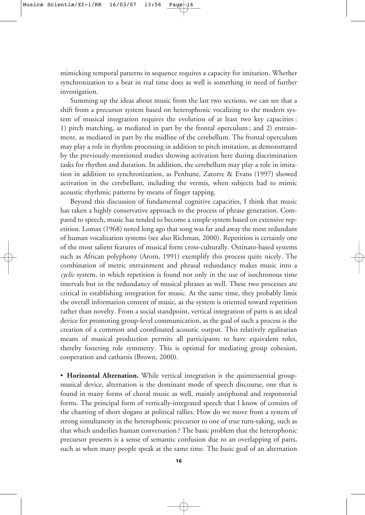Musicæ Scientiæ/XI-1/RR 16/03/07

mimicking temporal patterns in sequence requires a capacity for imitation. Whether synchronization to a beat in real time does as well is something in need of further investigation.

Summing up the ideas about music from the last two sections, we can see that a shift from a precursor system based on heterophonic vocalizing to the modern system of musical integration requires the evolution of at least two key capacities: 1) pitch matching, as mediated in part by the frontal operculum; and 2) entrainment, as mediated in part by the midline of the cerebellum. The frontal operculum may play a role in rhythm processing in addition to pitch imitation, as demonstrated by the previously-mentioned studies showing activation here during discrimination tasks for rhythm and duration. In addition, the cerebellum may play a role in imitation in addition to synchronization, as Penhune, Zatorre & Evans (1997) showed activation in the cerebellum, including the vermis, when subjects had to mimic acoustic rhythmic patterns by means of finger tapping.

Beyond this discussion of fundamental cognitive capacities, I think that music has taken a highly conservative approach to the process of phrase generation. Compared to speech, music has tended to become a simple system based on extensive repetition. Lomax (1968) noted long ago that song was far and away the most redundant of human vocalization systems (see also Richman, 2000). Repetition is certainly one of the most salient features of musical form cross-culturally. Ostinato-based systems such as African polyphony (Arom, 1991) exemplify this process quite nicely. The combination of metric entrainment and phrasal redundancy makes music into a *cyclic* system, in which repetition is found not only in the use of isochronous time intervals but in the redundancy of musical phrases as well. These two processes are critical in establishing integration for music. At the same time, they probably limit the overall information content of music, as the system is oriented toward repetition rather than novelty. From a social standpoint, vertical integration of parts is an ideal device for promoting group-level communication, as the goal of such a process is the creation of a common and coordinated acoustic output. This relatively egalitarian means of musical production permits all participants to have equivalent roles, thereby fostering role symmetry. This is optimal for mediating group cohesion, cooperation and catharsis (Brown, 2000).

• **Horizontal Alternation.** While vertical integration is the quintessential groupmusical device, alternation is the dominant mode of speech discourse, one that is found in many forms of choral music as well, mainly antiphonal and responsorial forms. The principal form of vertically-integrated speech that I know of consists of the chanting of short slogans at political rallies. How do we move from a system of strong simultaneity in the heterophonic precursor to one of true turn-taking, such as that which underlies human conversation? The basic problem that the heterophonic precursor presents is a sense of semantic confusion due to an overlapping of parts, such as when many people speak at the same time. The basic goal of an alternation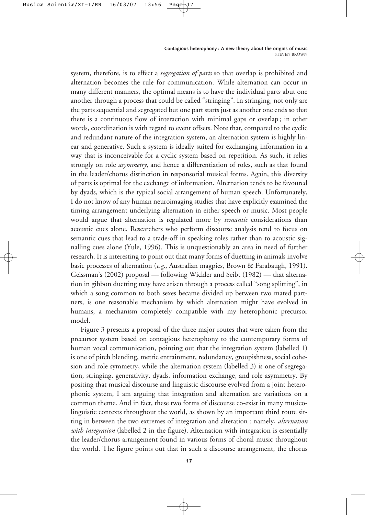system, therefore, is to effect a *segregation of parts* so that overlap is prohibited and alternation becomes the rule for communication. While alternation can occur in many different manners, the optimal means is to have the individual parts abut one another through a process that could be called "stringing". In stringing, not only are the parts sequential and segregated but one part starts just as another one ends so that there is a continuous flow of interaction with minimal gaps or overlap; in other words, coordination is with regard to event offsets. Note that, compared to the cyclic and redundant nature of the integration system, an alternation system is highly linear and generative. Such a system is ideally suited for exchanging information in a way that is inconceivable for a cyclic system based on repetition. As such, it relies strongly on role *asymmetry*, and hence a differentiation of roles, such as that found in the leader/chorus distinction in responsorial musical forms. Again, this diversity of parts is optimal for the exchange of information. Alternation tends to be favoured by dyads, which is the typical social arrangement of human speech. Unfortunately, I do not know of any human neuroimaging studies that have explicitly examined the timing arrangement underlying alternation in either speech or music. Most people would argue that alternation is regulated more by *semantic* considerations than acoustic cues alone. Researchers who perform discourse analysis tend to focus on semantic cues that lead to a trade-off in speaking roles rather than to acoustic signalling cues alone (Yule, 1996). This is unquestionably an area in need of further research. It is interesting to point out that many forms of duetting in animals involve basic processes of alternation (*e.g*., Australian magpies, Brown & Farabaugh, 1991). Geissman's (2002) proposal — following Wickler and Seibt (1982) — that alternation in gibbon duetting may have arisen through a process called "song splitting", in which a song common to both sexes became divided up between two mated partners, is one reasonable mechanism by which alternation might have evolved in humans, a mechanism completely compatible with my heterophonic precursor model.

Figure 3 presents a proposal of the three major routes that were taken from the precursor system based on contagious heterophony to the contemporary forms of human vocal communication, pointing out that the integration system (labelled 1) is one of pitch blending, metric entrainment, redundancy, groupishness, social cohesion and role symmetry, while the alternation system (labelled 3) is one of segregation, stringing, generativity, dyads, information exchange, and role asymmetry. By positing that musical discourse and linguistic discourse evolved from a joint heterophonic system, I am arguing that integration and alternation are variations on a common theme. And in fact, these two forms of discourse co-exist in many musicolinguistic contexts throughout the world, as shown by an important third route sitting in between the two extremes of integration and alteration: namely, *alternation with integration* (labelled 2 in the figure). Alternation with integration is essentially the leader/chorus arrangement found in various forms of choral music throughout the world. The figure points out that in such a discourse arrangement, the chorus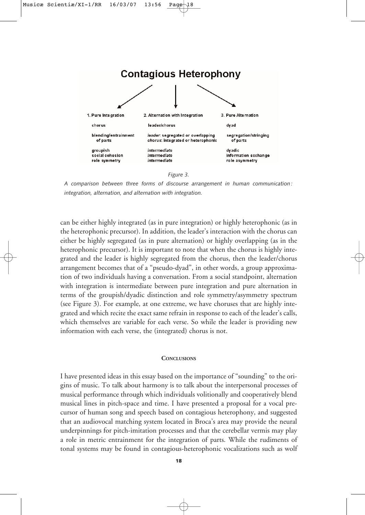

Musicæ Scientiæ/XI-1/RR 16/03/07 13:56

*Figure 3.*

*A comparison between three forms of discourse arrangement in human communication: integration, alternation, and alternation with integration.*

can be either highly integrated (as in pure integration) or highly heterophonic (as in the heterophonic precursor). In addition, the leader's interaction with the chorus can either be highly segregated (as in pure alternation) or highly overlapping (as in the heterophonic precursor). It is important to note that when the chorus is highly integrated and the leader is highly segregated from the chorus, then the leader/chorus arrangement becomes that of a "pseudo-dyad", in other words, a group approximation of two individuals having a conversation. From a social standpoint, alternation with integration is intermediate between pure integration and pure alternation in terms of the groupish/dyadic distinction and role symmetry/asymmetry spectrum (see Figure 3). For example, at one extreme, we have choruses that are highly integrated and which recite the exact same refrain in response to each of the leader's calls, which themselves are variable for each verse. So while the leader is providing new information with each verse, the (integrated) chorus is not.

## **CONCLUSIONS**

I have presented ideas in this essay based on the importance of "sounding" to the origins of music. To talk about harmony is to talk about the interpersonal processes of musical performance through which individuals volitionally and cooperatively blend musical lines in pitch-space and time. I have presented a proposal for a vocal precursor of human song and speech based on contagious heterophony, and suggested that an audiovocal matching system located in Broca's area may provide the neural underpinnings for pitch-imitation processes and that the cerebellar vermis may play a role in metric entrainment for the integration of parts. While the rudiments of tonal systems may be found in contagious-heterophonic vocalizations such as wolf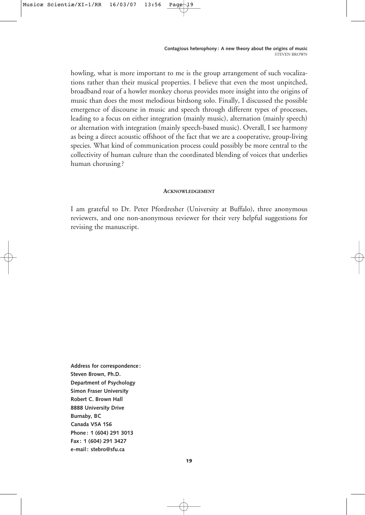howling, what is more important to me is the group arrangement of such vocalizations rather than their musical properties. I believe that even the most unpitched, broadband roar of a howler monkey chorus provides more insight into the origins of music than does the most melodious birdsong solo. Finally, I discussed the possible emergence of discourse in music and speech through different types of processes, leading to a focus on either integration (mainly music), alternation (mainly speech) or alternation with integration (mainly speech-based music). Overall, I see harmony as being a direct acoustic offshoot of the fact that we are a cooperative, group-living species. What kind of communication process could possibly be more central to the collectivity of human culture than the coordinated blending of voices that underlies human chorusing?

## **ACKNOWLEDGEMENT**

I am grateful to Dr. Peter Pfordresher (University at Buffalo), three anonymous reviewers, and one non-anonymous reviewer for their very helpful suggestions for revising the manuscript.

**Address for correspondence: Steven Brown, Ph.D. Department of Psychology Simon Fraser University Robert C. Brown Hall 8888 University Drive Burnaby, BC Canada V5A 1S6 Phone: 1 (604) 291 3013 Fax: 1 (604) 291 3427 e-mail: stebro@sfu.ca**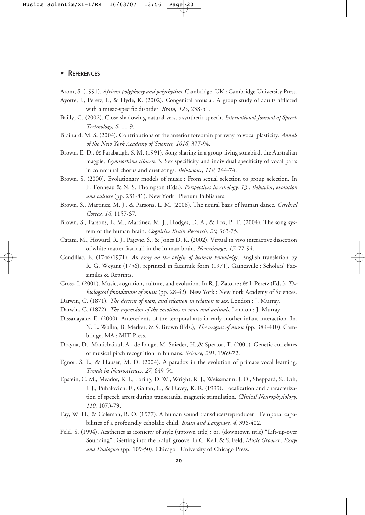#### **• REFERENCES**

Arom, S. (1991). *African polyphony and polyrhythm*. Cambridge, UK: Cambridge University Press.

- Ayotte, J., Peretz, I., & Hyde, K. (2002). Congenital amusia: A group study of adults afflicted with a music-specific disorder. *Brain*, *125*, 238-51.
- Bailly, G. (2002). Close shadowing natural versus synthetic speech. *International Journal of Speech Technology*, *6*, 11-9.
- Brainard, M. S. (2004). Contributions of the anterior forebrain pathway to vocal plasticity. *Annals of the New York Academy of Sciences*, *1016*, 377-94.
- Brown, E. D., & Farabaugh, S. M. (1991). Song sharing in a group-living songbird, the Australian magpie, *Gymnorhina tibicen*. 3. Sex specificity and individual specificity of vocal parts in communal chorus and duet songs. *Behaviour*, *118*, 244-74.
- Brown, S. (2000). Evolutionary models of music: From sexual selection to group selection. In F. Tonneau & N. S. Thompson (Eds.), *Perspectives in ethology*. *13: Behavior, evolution and culture* (pp. 231-81). New York: Plenum Publishers.
- Brown, S., Martinez, M. J., & Parsons, L. M. (2006). The neural basis of human dance. *Cerebral Cortex*, *16*, 1157-67.
- Brown, S., Parsons, L. M., Martinez, M. J., Hodges, D. A., & Fox, P. T. (2004). The song system of the human brain. *Cognitive Brain Research*, *20*, 363-75.
- Catani, M., Howard, R. J., Pajevic, S., & Jones D. K. (2002). Virtual in vivo interactive dissection of white matter fasciculi in the human brain. *Neuroimage, 17*, 77-94.
- Condillac, E. (1746/1971). *An essay on the origin of human knowledge*. English translation by R. G. Weyant (1756), reprinted in facsimile form (1971). Gainesville: Scholars' Facsimiles & Reprints.
- Cross, I. (2001). Music, cognition, culture, and evolution. In R. J. Zatorre; & I. Peretz (Eds.), *The biological foundations of music* (pp. 28-42). New York: New York Academy of Sciences.
- Darwin, C. (1871). *The descent of man, and selection in relation to sex*. London: J. Murray.
- Darwin, C. (1872). *The expression of the emotions in man and animals*. London: J. Murray.
- Dissanayake, E. (2000). Antecedents of the temporal arts in early mother-infant interaction. In. N. L. Wallin, B. Merker, & S. Brown (Eds.), *The origins of music* (pp. 389-410). Cambridge, MA: MIT Press.
- Drayna, D., Manichaikul, A., de Lange, M. Snieder, H.,& Spector, T. (2001). Genetic correlates of musical pitch recognition in humans. *Science*, *291*, 1969-72.
- Egnor, S. E., & Hauser, M. D. (2004). A paradox in the evolution of primate vocal learning. *Trends in Neurosciences*, *27*, 649-54.
- Epstein, C. M., Meador, K. J., Loring, D. W., Wright, R. J., Weissmann, J. D., Sheppard, S., Lah, J. J., Puhalovich, F., Gaitan, L., & Davey, K. R. (1999). Localization and characterization of speech arrest during transcranial magnetic stimulation. *Clinical Neurophysiology*, *110*, 1073-79.
- Fay, W. H., & Coleman, R. O. (1977). A human sound transducer/reproducer: Temporal capabilities of a profoundly echolalic child. *Brain and Language*, *4*, 396-402.
- Feld, S. (1994). Aesthetics as iconicity of style (uptown title); or, (downtown title) "Lift-up-over Sounding": Getting into the Kaluli groove. In C. Keil, & S. Feld, *Music Grooves: Essays and Dialogues* (pp. 109-50). Chicago: University of Chicago Press.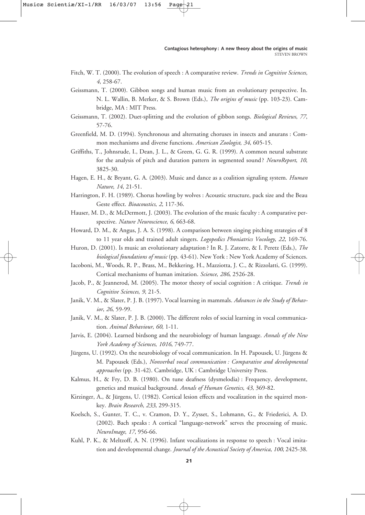- Fitch, W. T. (2000). The evolution of speech: A comparative review. *Trends in Cognitive Sciences, 4*, 258-67.
- Geissmann, T. (2000). Gibbon songs and human music from an evolutionary perspective. In. N. L. Wallin, B. Merker, & S. Brown (Eds.), *The origins of music* (pp. 103-23). Cambridge, MA: MIT Press.
- Geissmann, T. (2002). Duet-splitting and the evolution of gibbon songs. *Biological Reviews*, *77*, 57-76.
- Greenfield, M. D. (1994). Synchronous and alternating choruses in insects and anurans: Common mechanisms and diverse functions. *American Zoologist*, *34*, 605-15.
- Griffiths, T., Johnsrude, I., Dean, J. L., & Green, G. G. R. (1999). A common neural substrate for the analysis of pitch and duration pattern in segmented sound? *NeuroReport*, *10*, 3825-30.
- Hagen, E. H., & Bryant, G. A. (2003). Music and dance as a coalition signaling system. *Human Nature*, *14*, 21-51.
- Harrington, F. H. (1989). Chorus howling by wolves: Acoustic structure, pack size and the Beau Geste effect. *Bioacoustics*, *2*, 117-36.
- Hauser, M. D., & McDermott, J. (2003). The evolution of the music faculty: A comparative perspective. *Nature Neuroscience*, *6*, 663-68.
- Howard, D. M., & Angus, J. A. S. (1998). A comparison between singing pitching strategies of 8 to 11 year olds and trained adult singers. *Logopedics Phoniatrics Vocology*, *22*, 169-76.
- Huron, D. (2001). Is music an evolutionary adaptation? In R. J. Zatorre, & I. Peretz (Eds.), *The biological foundations of music* (pp. 43-61). New York: New York Academy of Sciences.
- Iacoboni, M., Woods, R. P., Brass, M., Bekkering, H., Mazziotta, J. C., & Rizzolatti, G. (1999). Cortical mechanisms of human imitation. *Science*, *286*, 2526-28.
- Jacob, P., & Jeannerod, M. (2005). The motor theory of social cognition: A critique. *Trends in Cognitive Sciences*, *9*, 21-5.
- Janik, V. M., & Slater, P. J. B. (1997). Vocal learning in mammals. *Advances in the Study of Behavior*, *26*, 59-99.
- Janik, V. M., & Slater, P. J. B. (2000). The different roles of social learning in vocal communication. *Animal Behaviour*, *60*, 1-11.
- Jarvis, E. (2004). Learned birdsong and the neurobiology of human language. *Annals of the New York Academy of Sciences*, *1016*, 749-77.
- Jürgens, U. (1992). On the neurobiology of vocal communication. In H. Papousek, U. Jürgens & M. Papousek (Eds.), *Nonverbal vocal communication: Comparative and developmental approaches* (pp. 31-42). Cambridge, UK: Cambridge University Press.
- Kalmus, H., & Fry, D. B. (1980). On tune deafness (dysmelodia): Frequency, development, genetics and musical background. *Annals of Human Genetics*, *43*, 369-82.
- Kirzinger, A., & Jürgens, U. (1982). Cortical lesion effects and vocalization in the squirrel monkey. *Brain Research*, *233*, 299-315.
- Koelsch, S., Gunter, T. C., v. Cramon, D. Y., Zysset, S., Lohmann, G., & Friederici, A. D. (2002). Bach speaks: A cortical "language-network" serves the processing of music. *NeuroImage*, *17*, 956-66.
- Kuhl, P. K., & Meltzoff, A. N. (1996). Infant vocalizations in response to speech: Vocal imitation and developmental change. *Journal of the Acoustical Society of America*, *100*, 2425-38.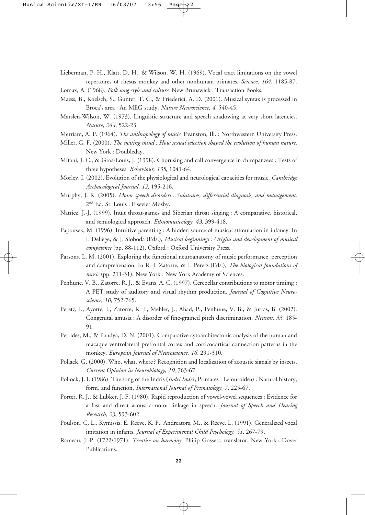Lieberman, P. H., Klatt, D. H., & Wilson, W. H. (1969). Vocal tract limitations on the vowel repertoires of rhesus monkey and other nonhuman primates. *Science*, *164*, 1185-87.

Lomax, A. (1968). *Folk song style and culture*. New Brunswick: Transaction Books.

- Maess, B., Koelsch, S., Gunter, T. C., & Friederici, A. D. (2001). Musical syntax is processed in Broca's area: An MEG study. *Nature Neuroscience*, *4*, 540-45.
- Marslen-Wilson, W. (1973). Linguistic structure and speech shadowing at very short latencies. *Nature*, *244*, 522-23.
- Merriam, A. P. (1964). *The anthropology of music*. Evanston, Ill.: Northwestern University Press.
- Miller, G. F. (2000). *The mating mind: How sexual selection shaped the evolution of human nature*. New York: Doubleday.
- Mitani, J. C., & Gros-Louis, J. (1998). Chorusing and call convergence in chimpanzees: Tests of three hypotheses. *Behaviour*, *135*, 1041-64.
- Morley, I. (2002). Evolution of the physiological and neurological capacities for music. *Cambridge Archaeological Journal*, *12*, 195-216.
- Murphy, J. R. (2005). *Motor speech disorders: Substrates, differential diagnosis, and management*. 2nd Ed. St. Louis: Elsevier Mosby.
- Nattiez, J.-J. (1999). Inuit throat-games and Siberian throat singing: A comparative, historical, and semiological approach. *Ethnomusicology*, *43*, 399-418.
- Papousek, M. (1996). Intuitive parenting: A hidden source of musical stimulation in infancy. In I. Deliège, & J. Sloboda (Eds.), *Musical beginnings: Origins and development of musical* competence (pp. 88-112). Oxford: Oxford University Press.
- Parsons, L. M. (2001). Exploring the functional neuroanatomy of music performance, perception and comprehension. In R. J. Zatorre, & I. Peretz (Eds.), *The biological foundations of music* (pp. 211-31). New York: New York Academy of Sciences.
- Penhune, V. B., Zatorre, R. J., & Evans, A. C. (1997). Cerebellar contributions to motor timimg: A PET study of auditory and visual rhythm production. *Journal of Cognitive Neuroscience*, *10*, 752-765.
- Peretz, I., Ayotte, J., Zatorre, R. J., Mehler, J., Ahad, P., Penhune, V. B., & Jutras, B. (2002). Congenital amusia: A disorder of fine-grained pitch discrimination. *Neuron*, *33*, 185- 91.
- Petrides, M., & Pandya, D. N. (2001). Comparative cytoarchitectonic analysis of the human and macaque ventrolateral prefrontal cortex and corticocortical connection patterns in the monkey. *European Journal of Neuroscience*, *16*, 291-310.
- Pollack, G. (2000). Who, what, where? Recognition and localization of acoustic signals by insects. *Current Opinion in Neurobiology*, *10*, 763-67.
- Pollock, J. I. (1986). The song of the Indris (*Indri Indri*; Primates: Lemuroidea): Natural history, form, and function. *International Journal of Primatology*, *7*, 225-67.
- Porter, R. J., & Lubker, J. F. (1980). Rapid reproduction of vowel-vowel sequences: Evidence for a fast and direct acoustic-motor linkage in speech. *Journal of Speech and Hearing Research*, *23*, 593-602.
- Poulson, C. L., Kymissis, E. Reeve, K. F., Andreators, M., & Reeve, L. (1991). Generalized vocal imitation in infants. *Journal of Experimental Child Psychology*, *51*, 267-79.
- Rameau, J.-P. (1722/1971). *Treatise on harmony*. Philip Gossett, translator. New York: Dover Publications.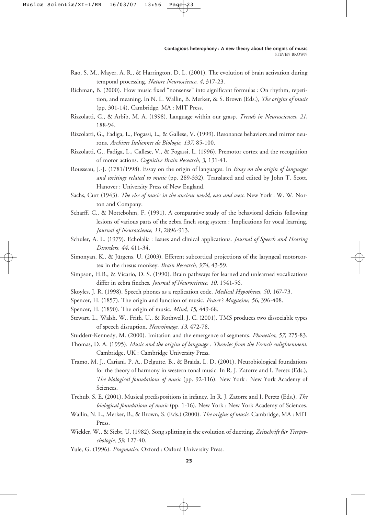- Rao, S. M., Mayer, A. R., & Harrington, D. L. (2001). The evolution of brain activation during temporal processing. *Nature Neuroscience*, *4*, 317-23.
- Richman, B. (2000). How music fixed "nonsense" into significant formulas: On rhythm, repetition, and meaning. In N. L. Wallin, B. Merker, & S. Brown (Eds.), *The origins of music* (pp. 301-14). Cambridge, MA: MIT Press.
- Rizzolatti, G., & Arbib, M. A. (1998). Language within our grasp. *Trends in Neurosciences*, *21*, 188-94.
- Rizzolatti, G., Fadiga, L., Fogassi, L., & Gallese, V. (1999). Resonance behaviors and mirror neurons. *Archives Italiennes de Biologie*, *137*, 85-100.
- Rizzolatti, G., Fadiga, L., Gallese, V., & Fogassi, L. (1996). Premotor cortex and the recognition of motor actions. *Cognitive Brain Research*, *3*, 131-41.
- Rousseau, J.-J. (1781/1998). Essay on the origin of languages. In *Essay on the origin of languages and writings related to music* (pp. 289-332). Translated and edited by John T. Scott. Hanover: University Press of New England.
- Sachs, Curt (1943). *The rise of music in the ancient world, east and west*. New York: W. W. Norton and Company.
- Scharff, C., & Nottebohm, F. (1991). A comparative study of the behavioral deficits following lesions of various parts of the zebra finch song system: Implications for vocal learning. *Journal of Neuroscience*, *11*, 2896-913.
- Schuler, A. L. (1979). Echolalia: Issues and clinical applications. *Journal of Speech and Hearing Disorders*, *44*, 411-34.
- Simonyan, K., & Jürgens, U. (2003). Efferent subcortical projections of the laryngeal motorcortex in the rhesus monkey. *Brain Research*, *974*, 43-59.
- Simpson, H.B., & Vicario, D. S. (1990). Brain pathways for learned and unlearned vocalizations differ in zebra finches. *Journal of Neuroscience*, *10*, 1541-56.
- Skoyles, J. R. (1998). Speech phones as a replication code. *Medical Hypotheses*, *50*, 167-73.
- Spencer, H. (1857). The origin and function of music. *Fraser's Magazine*, *56*, 396-408.
- Spencer, H. (1890). The origin of music. *Mind*, *15*, 449-68.
- Stewart, L., Walsh, W., Frith, U., & Rothwell, J. C. (2001). TMS produces two dissociable types of speech disruption. *Neuroimage*, *13*, 472-78.

Studdert-Kennedy, M. (2000). Imitation and the emergence of segments. *Phonetica*, *57*, 275-83.

- Thomas, D. A. (1995). *Music and the origins of language: Theories from the French enlightenment*. Cambridge, UK: Cambridge University Press.
- Tramo, M. J., Cariani, P. A., Delgutte, B., & Braida, L. D. (2001). Neurobiological foundations for the theory of harmony in western tonal music. In R. J. Zatorre and I. Peretz (Eds.), *The biological foundations of music* (pp. 92-116). New York: New York Academy of Sciences.
- Trehub, S. E. (2001). Musical predispositions in infancy. In R. J. Zatorre and I. Peretz (Eds.), *The biological foundations of music* (pp. 1-16). New York: New York Academy of Sciences.
- Wallin, N. L., Merker, B., & Brown, S. (Eds.) (2000). *The origins of music*. Cambridge, MA: MIT Press.
- Wickler, W., & Siebt, U. (1982). Song splitting in the evolution of duetting. *Zeitschrift für Tierpsychologie*, *59*, 127-40.
- Yule, G. (1996). *Pragmatics*. Oxford: Oxford University Press.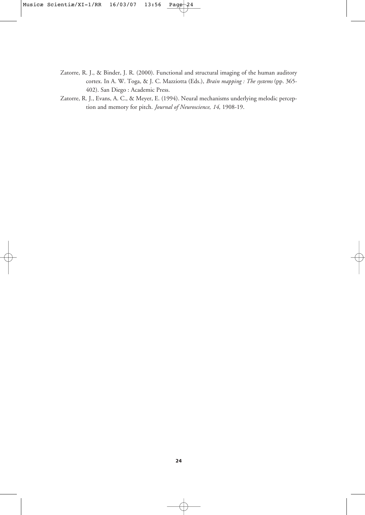- Zatorre, R. J., & Binder, J. R. (2000). Functional and structural imaging of the human auditory cortex. In A. W. Toga, & J. C. Mazziotta (Eds.), *Brain mapping: The systems* (pp. 365- 402). San Diego: Academic Press.
- Zatorre, R. J., Evans, A. C., & Meyer, E. (1994). Neural mechanisms underlying melodic perception and memory for pitch. *Journal of Neuroscience*, *14*, 1908-19.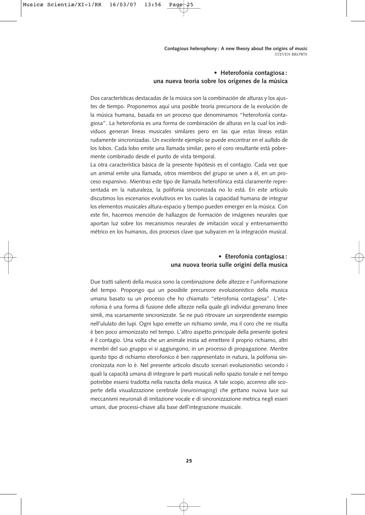Musicæ Scientiæ/XI-1/RR 16/03/07 13:56

**Contagious heterophony: A new theory about the origins of music** STEVEN BROWN

# **• Heterofonía contagiosa: una nueva teoría sobre los orígenes de la música**

Dos características destacadas de la música son la combinación de alturas y los ajustes de tiempo. Proponemos aquí una posible teoría precursora de la evolución de la música humana, basada en un proceso que denominamos "heterofonía contagiosa". La heterofonía es una forma de combinación de alturas en la cual los individuos generan líneas musicales similares pero en las que estas líneas están rudamente sincronizadas. Un excelente ejemplo se puede encontrar en el aullido de los lobos. Cada lobo emite una llamada similar, pero el coro resultante está pobremente combinado desde el punto de vista temporal.

La otra característica básica de la presente hipótesis es el contagio. Cada vez que un animal emite una llamada, otros miembros del grupo se unen a él, en un proceso expansivo. Mientras este tipo de llamada heterofónica está claramente representada en la naturaleza, la polifonía sincronizada no lo está. En este artículo discutimos los escenarios evolutivos en los cuales la capacidad humana de integrar los elementos musicales altura-espacio y tiempo pueden emerger en la música. Con este fin, hacemos mención de hallazgos de formación de imágenes neurales que aportan luz sobre los mecanismos neurales de imitación vocal y entrenamientto métrico en los humanos, dos procesos clave que subyacen en la integración musical.

# **• Eterofonia contagiosa: una nuova teoria sulle origini della musica**

Due tratti salienti della musica sono la combinazione delle altezze e l'uniformazione del tempo. Propongo qui un possibile precursore evoluzionistico della musica umana basato su un processo che ho chiamato "eterofonia contagiosa". L'eterofonia è una forma di fusione delle altezze nella quale gli individui generano linee simili, ma scarsamente sincronizzate. Se ne può ritrovare un sorprendente esempio nell'ululato dei lupi. Ogni lupo emette un richiamo simile, ma il coro che ne risulta è ben poco armonizzato nel tempo. L'altro aspetto principale della presente ipotesi è il contagio. Una volta che un animale inizia ad emettere il proprio richiamo, altri membri del suo gruppo vi si aggiungono, in un processo di propagazione. Mentre questo tipo di richiamo eterofonico è ben rappresentato in natura, la polifonia sincronizzata non lo è. Nel presente articolo discuto scenari evoluzionistici secondo i quali la capacità umana di integrare le parti musicali nello spazio tonale e nel tempo potrebbe essersi tradotta nella nascita della musica. A tale scopo, accenno alle scoperte della visualizzazione cerebrale (*neuroimaging*) che gettano nuova luce sui meccanismi neuronali di imitazione vocale e di sincronizzazione metrica negli esseri umani, due processi-chiave alla base dell'integrazione musicale.